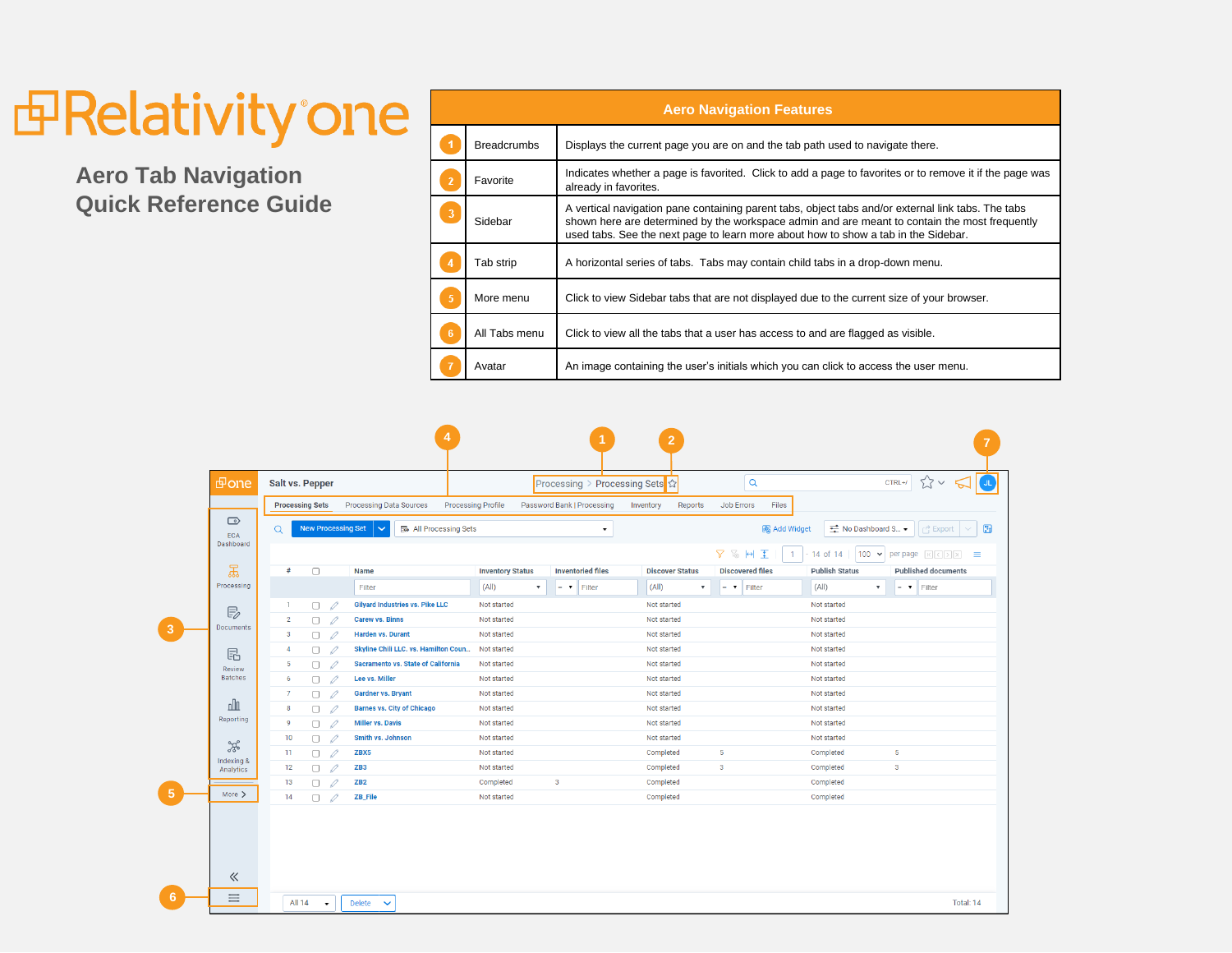## *<u>Independence</u>*

**Aero Tab Navigation Quick Reference Guide**

| <b>Aero Navigation Features</b> |                    |                                                                                                                                                                                                                                                                                           |  |  |  |  |  |  |
|---------------------------------|--------------------|-------------------------------------------------------------------------------------------------------------------------------------------------------------------------------------------------------------------------------------------------------------------------------------------|--|--|--|--|--|--|
|                                 | <b>Breadcrumbs</b> | Displays the current page you are on and the tab path used to navigate there.                                                                                                                                                                                                             |  |  |  |  |  |  |
|                                 | Favorite           | Indicates whether a page is favorited. Click to add a page to favorites or to remove it if the page was<br>already in favorites.                                                                                                                                                          |  |  |  |  |  |  |
|                                 | Sidebar            | A vertical navigation pane containing parent tabs, object tabs and/or external link tabs. The tabs<br>shown here are determined by the workspace admin and are meant to contain the most frequently<br>used tabs. See the next page to learn more about how to show a tab in the Sidebar. |  |  |  |  |  |  |
|                                 | Tab strip          | A horizontal series of tabs. Tabs may contain child tabs in a drop-down menu.                                                                                                                                                                                                             |  |  |  |  |  |  |
|                                 | More menu          | Click to view Sidebar tabs that are not displayed due to the current size of your browser.                                                                                                                                                                                                |  |  |  |  |  |  |
| -6                              | All Tabs menu      | Click to view all the tabs that a user has access to and are flagged as visible.                                                                                                                                                                                                          |  |  |  |  |  |  |
|                                 | Avatar             | An image containing the user's initials which you can click to access the user menu.                                                                                                                                                                                                      |  |  |  |  |  |  |

|                         |                                               |                                                                                                                                                                |                                                         | $\overline{2}$                                     |                                                                          |  |  |  |  |
|-------------------------|-----------------------------------------------|----------------------------------------------------------------------------------------------------------------------------------------------------------------|---------------------------------------------------------|----------------------------------------------------|--------------------------------------------------------------------------|--|--|--|--|
|                         | d one                                         | <b>Salt vs. Pepper</b>                                                                                                                                         | Processing > Processing Sets ☆                          | $\alpha$                                           | $\approx$<br>$CTRL+1$<br><b>JL</b>                                       |  |  |  |  |
|                         |                                               | <b>Processing Sets</b><br><b>Processing Data Sources</b>                                                                                                       | <b>Processing Profile</b><br>Password Bank   Processing | Reports<br><b>Job Errors</b><br>Files<br>Inventory |                                                                          |  |  |  |  |
|                         | $\bigcirc$<br><b>ECA</b><br>Dashboard         | <b>New Processing Set</b><br>₩ No Dashboard S<br><b>E</b> All Processing Sets<br><b>图 Add Widget</b><br>B<br>$\Omega$<br>$\int_{1}^{A}$ Export<br>$\checkmark$ |                                                         |                                                    |                                                                          |  |  |  |  |
|                         |                                               |                                                                                                                                                                |                                                         | <b>7 % H 王</b><br>$\mathbf{1}$                     | $100 \times$<br>$-14$ of 14<br><b>per page</b> $R[\sqrt{n}]$<br>$\equiv$ |  |  |  |  |
|                         | $\mathbb{E}$<br>Processing                    | #<br>$\Box$<br><b>Name</b>                                                                                                                                     | <b>Inventory Status</b><br><b>Inventoried files</b>     | <b>Discovered files</b><br><b>Discover Status</b>  | <b>Publish Status</b><br><b>Published documents</b>                      |  |  |  |  |
|                         |                                               | Filter                                                                                                                                                         | (A  )<br>$\boldsymbol{\mathrm{v}}$<br>Filter<br>$= 7$   | (A  )<br>$= 7$ Filter<br>$\pmb{\mathrm{v}}$        | (A  )<br>$\boldsymbol{\mathrm{v}}$<br>$= 7$ Filter                       |  |  |  |  |
|                         | $\mathbb{E}_{\mathbb{Z}}$<br><b>Documents</b> | <b>Gilyard Industries vs. Pike LLC</b><br>0<br>1<br>П.                                                                                                         | Not started                                             | Not started                                        | Not started                                                              |  |  |  |  |
|                         |                                               | $\overline{2}$<br><b>Carew vs. Binns</b><br>$\Box$<br>0                                                                                                        | Not started                                             | Not started                                        | Not started                                                              |  |  |  |  |
| $\overline{\mathbf{3}}$ |                                               | 3<br><b>Harden vs. Durant</b><br>$\Box$<br>0                                                                                                                   | Not started                                             | Not started                                        | Not started                                                              |  |  |  |  |
|                         | E                                             | Skyline Chili LLC. vs. Hamilton Coun<br>0<br>$\overline{4}$<br>0                                                                                               | Not started                                             | Not started                                        | Not started                                                              |  |  |  |  |
|                         | Review<br><b>Batches</b>                      | $5\phantom{.0}$<br>Sacramento vs. State of California<br>0.<br>$\mathscr{Q}$                                                                                   | Not started                                             | Not started                                        | Not started                                                              |  |  |  |  |
|                         |                                               | Lee vs. Miller<br>-6<br>0<br>0.                                                                                                                                | Not started                                             | Not started                                        | Not started                                                              |  |  |  |  |
|                         |                                               | <b>Gardner vs. Bryant</b><br>$\overline{7}$<br>n.<br>0                                                                                                         | Not started                                             | Not started                                        | Not started                                                              |  |  |  |  |
|                         | nlı<br>Reporting                              | <b>Barnes vs. City of Chicago</b><br>8<br>0<br>0.                                                                                                              | Not started                                             | Not started                                        | Not started                                                              |  |  |  |  |
|                         |                                               | <b>Miller vs. Davis</b><br>9<br>0<br>0                                                                                                                         | Not started                                             | Not started                                        | Not started                                                              |  |  |  |  |
|                         | ೫                                             | Smith vs. Johnson<br>10<br>$\Box$<br>0                                                                                                                         | Not started                                             | Not started                                        | Not started                                                              |  |  |  |  |
|                         | Indexing &<br>Analytics                       | 11<br>ZBX5<br>0<br>0                                                                                                                                           | Not started                                             | Completed<br>5                                     | 5<br>Completed                                                           |  |  |  |  |
|                         |                                               | 12<br>0<br>0<br>ZB <sub>3</sub>                                                                                                                                | Not started                                             | -3<br>Completed                                    | $\mathbf{3}$<br>Completed                                                |  |  |  |  |
|                         |                                               | 13<br>ZB <sub>2</sub><br>0<br>0                                                                                                                                | $\mathbf{3}$<br>Completed                               | Completed                                          | Completed                                                                |  |  |  |  |
| -5                      | More $\geq$                                   | 14<br><b>ZB_File</b><br>n<br>0                                                                                                                                 | Not started                                             | Completed                                          | Completed                                                                |  |  |  |  |
|                         | 《                                             |                                                                                                                                                                |                                                         |                                                    |                                                                          |  |  |  |  |
| 6                       | $\equiv$                                      | <b>All 14</b><br><b>Delete</b><br>$\checkmark$<br>$\cdot$                                                                                                      |                                                         |                                                    | Total: 14                                                                |  |  |  |  |